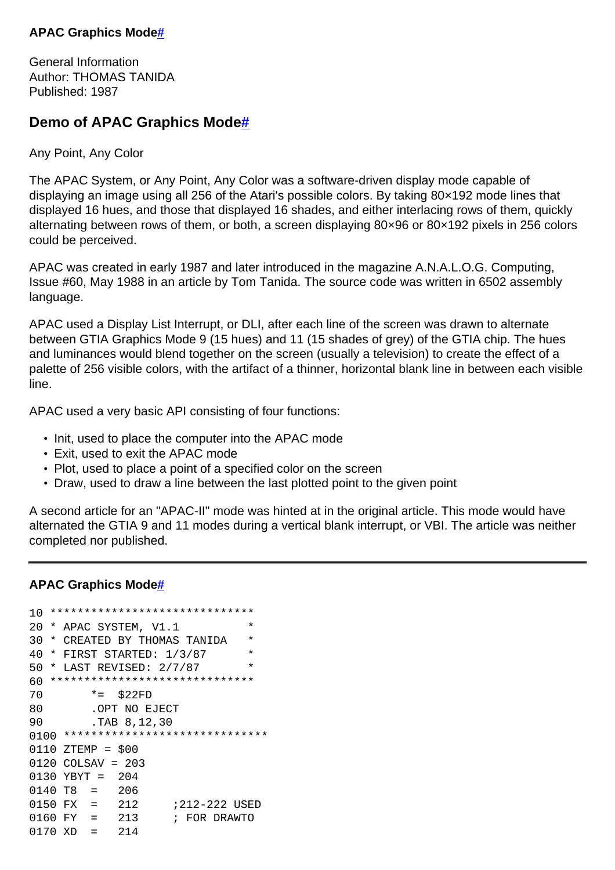## **APAC Graphics Mod[e#](http://[fd00::119]:8080/wiki/#section-APAC+Graphics+Mode-APACGraphicsMode)**

General Information Author: THOMAS TANIDA Published: 1987

## **Demo of APAC Graphics Mode[#](http://[fd00::119]:8080/wiki/#section-APAC+Graphics+Mode-DemoOfAPACGraphicsMode)**

Any Point, Any Color

The APAC System, or Any Point, Any Color was a software-driven display mode capable of displaying an image using all 256 of the Atari's possible colors. By taking 80×192 mode lines that displayed 16 hues, and those that displayed 16 shades, and either interlacing rows of them, quickly alternating between rows of them, or both, a screen displaying 80×96 or 80×192 pixels in 256 colors could be perceived.

APAC was created in early 1987 and later introduced in the magazine A.N.A.L.O.G. Computing, Issue #60, May 1988 in an article by Tom Tanida. The source code was written in 6502 assembly language.

APAC used a Display List Interrupt, or DLI, after each line of the screen was drawn to alternate between GTIA Graphics Mode 9 (15 hues) and 11 (15 shades of grey) of the GTIA chip. The hues and luminances would blend together on the screen (usually a television) to create the effect of a palette of 256 visible colors, with the artifact of a thinner, horizontal blank line in between each visible line.

APAC used a very basic API consisting of four functions:

- Init, used to place the computer into the APAC mode
- Exit, used to exit the APAC mode
- Plot, used to place a point of a specified color on the screen
- Draw, used to draw a line between the last plotted point to the given point

A second article for an "APAC-II" mode was hinted at in the original article. This mode would have alternated the GTIA 9 and 11 modes during a vertical blank interrupt, or VBI. The article was neither completed nor published.

## **APAC Graphics Mod[e#](http://[fd00::119]:8080/wiki/#section-APAC+Graphics+Mode-APACGraphicsMode-2)**

```
10 ******************************
20 * APAC SYSTEM, V1.1 *
30 * CREATED BY THOMAS TANIDA *
40 * FIRST STARTED: 1/3/87 *
50 * LAST REVISED: 2/7/87 *
60 ******************************
70 *= $22FD
80 .OPT NO EJECT
90 .TAB 8,12,30
0100 ******************************
0110 ZTEMP = $00
0120 COLSAV = 203
0130 YBYT = 204
0140 T8 = 206
0150 FX = 212 ;212-222 USED
0160 FY = 213 ; FOR DRAWTO
0170 XD = 214
```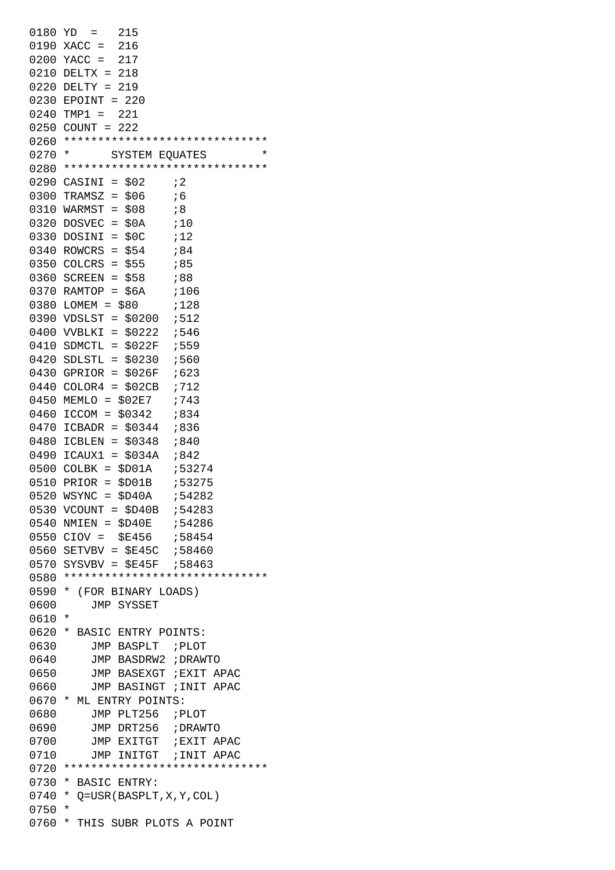|          | $0180 \text{ YD} = 215$                                       |
|----------|---------------------------------------------------------------|
|          | 0190 XACC = 216                                               |
|          | 0200 YACC = 217                                               |
|          | $0210$ DELTX = 218                                            |
| 0220     | $DELTY = 219$                                                 |
|          | 0230 EPOINT = 220                                             |
|          | $0240$ TMP1 =<br>221                                          |
|          | $0250$ COUNT =<br>222                                         |
|          | 0260 ******************************                           |
| 0270     | $^\star$<br>$^\star$<br>SYSTEM EQUATES                        |
|          | 0280 ******************************                           |
|          | 0290 CASINI = \$02<br>$\mathfrak{z}$                          |
|          |                                                               |
|          | $0300$ TRAMSZ = \$06<br>; 6                                   |
|          | 0310 WARMST = \$08<br>; 8                                     |
| 0320     | $DOSVEC = $0A$ ; 10                                           |
| 0330     | $DOSINI = $0C$ ; 12                                           |
|          | $0340$ ROWCRS = \$54<br>;84                                   |
|          | $0350$ COLCRS = \$55<br>;85                                   |
|          | 0360 SCREEN = \$58<br>;88                                     |
|          | 0370 RAMTOP = $$6A$ ; 106                                     |
|          | 0380 LOMEM = \$80<br>, 128                                    |
|          | 0390 VDSLST = $$0200$ ;512                                    |
|          | 0400 VVBLKI = \$0222 ;546                                     |
|          | 0410 SDMCTL = \$022F ;559                                     |
|          | 0420 SDLSTL = $$0230$ ;560                                    |
|          | 0430 GPRIOR = $$026F$ ;623                                    |
|          | 0440 COLOR4 = $$02CB$ ;712                                    |
|          |                                                               |
|          |                                                               |
| 0470     | $ICBADR = $0344 : 836$                                        |
| 0480     | ICBLEN = $$0348$ $:840$                                       |
|          | 0490 ICAUX1 = $$034A$ ;842                                    |
|          | 0500 COLBK = $$D01A$ $$53274$                                 |
| 0510     | $PRIOR = $D01B$<br>;53275                                     |
|          | $0520$ WSYNC = $$D40A$ ;54282                                 |
|          | 0530 VCOUNT = $$D40B$ ; 54283                                 |
|          |                                                               |
|          | $0550$ CIOV = \$E456 ;58454                                   |
|          |                                                               |
|          | 0570 SYSVBV = \$E45F $:58463$                                 |
|          | 0580 ******************************                           |
|          | 0590 * (FOR BINARY LOADS)                                     |
| 0600     | JMP SYSSET                                                    |
| 0610     | $^\star$                                                      |
|          | 0620 * BASIC ENTRY POINTS:                                    |
| 0630     | JMP BASPLT ; PLOT                                             |
| 0640     | JMP BASDRW2 ; DRAWTO                                          |
| 0650     | JMP BASEXGT ; EXIT APAC                                       |
| 0660     | JMP BASINGT ; INIT APAC                                       |
|          | 0670 * ML ENTRY POINTS:                                       |
| 0680     | JMP PLT256 ; PLOT                                             |
|          | JMP DRT256 ; DRAWTO                                           |
| 0690     |                                                               |
| 0700     | JMP EXITGT ; EXIT APAC                                        |
| 0710     | JMP INITGT ; INIT APAC<br>0720 ****************************** |
|          |                                                               |
| $0730 *$ | BASIC ENTRY:                                                  |
| $0740 *$ | Q=USR(BASPLT, X, Y, COL)                                      |
| $0750 *$ |                                                               |
|          | 0760 * THIS SUBR PLOTS A POINT                                |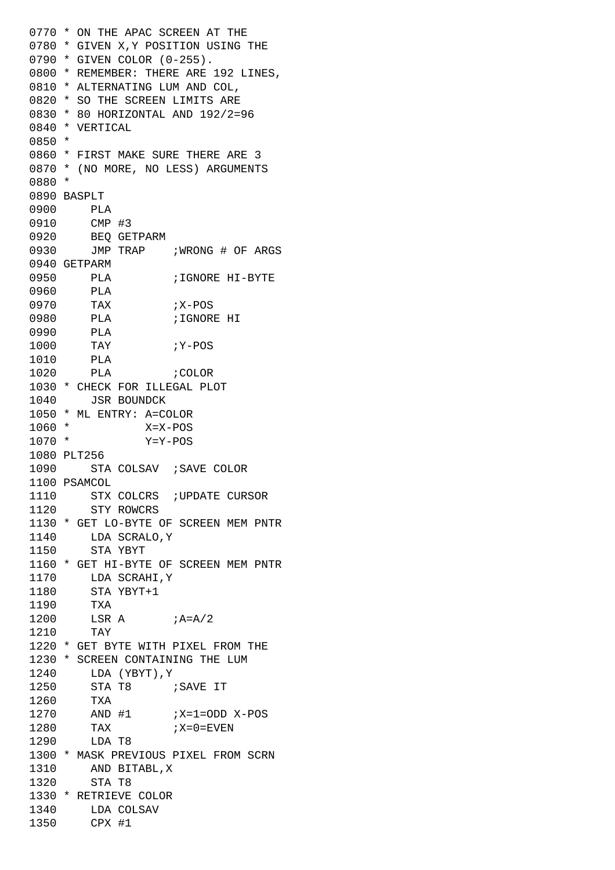```
0770 * ON THE APAC SCREEN AT THE
0780 * GIVEN X,Y POSITION USING THE
0790 * GIVEN COLOR (0-255).
0800 * REMEMBER: THERE ARE 192 LINES,
0810 * ALTERNATING LUM AND COL,
0820 * SO THE SCREEN LIMITS ARE
0830 * 80 HORIZONTAL AND 192/2=96
0840 * VERTICAL
0850 *
0860 * FIRST MAKE SURE THERE ARE 3
0870 * (NO MORE, NO LESS) ARGUMENTS
0880 *
0890 BASPLT
0900 PLA 
0910 CMP #3
0920 BEQ GETPARM
0930 JMP TRAP ; WRONG # OF ARGS
0940 GETPARM
0950 PLA ;IGNORE HI-BYTE
0960 PLA 
0970 TAX ;X-POS0980 PLA ;IGNORE HI
0990 PLA 
1000 TAY ; Y-POS
1010 PLA 
1020 PLA ;COLOR
1030 * CHECK FOR ILLEGAL PLOT
1040 JSR BOUNDCK
1050 * ML ENTRY: A=COLOR
1060 * X=X-POS
1070 * Y=Y-POS
1080 PLT256
1090 STA COLSAV ; SAVE COLOR
1100 PSAMCOL
1110 STX COLCRS ; UPDATE CURSOR
1120 STY ROWCRS
1130 * GET LO-BYTE OF SCREEN MEM PNTR
1140 LDA SCRALO,Y
1150 STA YBYT
1160 * GET HI-BYTE OF SCREEN MEM PNTR
1170 LDA SCRAHI,Y
1180 STA YBYT+1
1190 TXA 
1200 LSR A ; A = A/21210 TAY 
1220 * GET BYTE WITH PIXEL FROM THE
1230 * SCREEN CONTAINING THE LUM
1240 LDA (YBYT),Y
1250 STA T8 ;SAVE IT
1260 TXA 
1270 AND #1 ;X=1=ODD X-POS
1280 TAX ;X=0=FVEN1290 LDA T8
1300 * MASK PREVIOUS PIXEL FROM SCRN
1310 AND BITABL,X
1320 STA T8
1330 * RETRIEVE COLOR
1340 LDA COLSAV
1350 CPX #1
```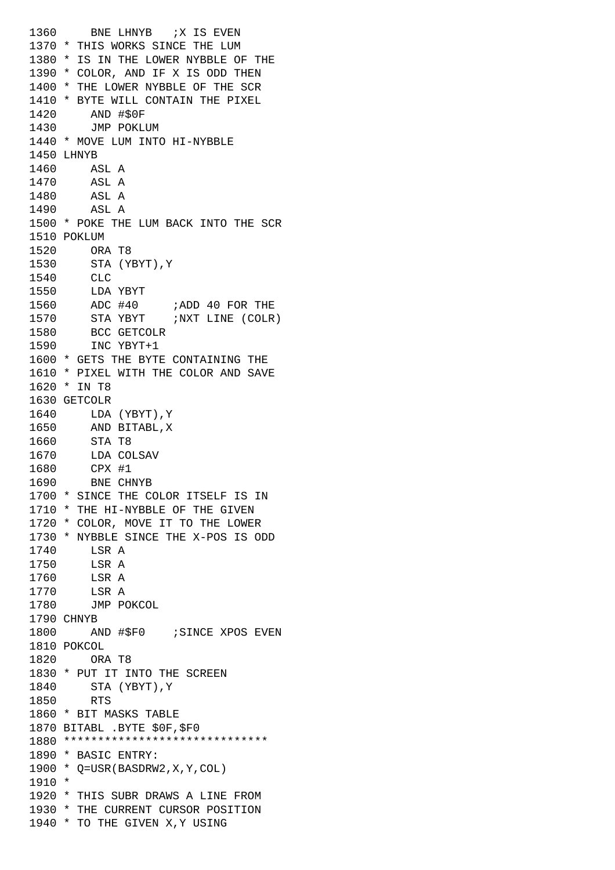1360 BNE LHNYB *;X IS EVEN* 1370 \* THIS WORKS SINCE THE LUM 1380 \* IS IN THE LOWER NYBBLE OF THE 1390 \* COLOR, AND IF X IS ODD THEN 1400 \* THE LOWER NYBBLE OF THE SCR 1410 \* BYTE WILL CONTAIN THE PIXEL 1420 AND #\$0F 1430 JMP POKLUM 1440 \* MOVE LUM INTO HI-NYBBLE 1450 LHNYB 1460 ASL A 1470 ASL A 1480 ASL A 1490 ASL A 1500 \* POKE THE LUM BACK INTO THE SCR 1510 POKLUM 1520 ORA T8 1530 STA (YBYT),Y 1540 CLC 1550 LDA YBYT 1560 ADC #40 ;ADD 40 FOR THE 1570 STA YBYT ;NXT LINE (COLR) 1580 BCC GETCOLR 1590 INC YBYT+1 1600 \* GETS THE BYTE CONTAINING THE 1610 \* PIXEL WITH THE COLOR AND SAVE 1620 \* IN T8 1630 GETCOLR 1640 LDA (YBYT),Y 1650 AND BITABL,X 1660 STA T8 1670 LDA COLSAV 1680 CPX #1 1690 BNE CHNYB 1700 \* SINCE THE COLOR ITSELF IS IN 1710 \* THE HI-NYBBLE OF THE GIVEN 1720 \* COLOR, MOVE IT TO THE LOWER 1730 \* NYBBLE SINCE THE X-POS IS ODD 1740 **LSR** A 1750 LSR A 1760 LSR A 1770 LSR A 1780 JMP POKCOL 1790 CHNYB 1800 AND #\$F0 ; SINCE XPOS EVEN 1810 POKCOL 1820 ORA T8 1830 \* PUT IT INTO THE SCREEN 1840 STA (YBYT),Y 1850 RTS 1860 \* BIT MASKS TABLE 1870 BITABL .BYTE \$0F,\$F0 1880 \*\*\*\*\*\*\*\*\*\*\*\*\*\*\*\*\*\*\*\*\*\*\*\*\*\*\*\*\*\* 1890 \* BASIC ENTRY: 1900 \* Q=USR(BASDRW2,X,Y,COL) 1910 \* 1920 \* THIS SUBR DRAWS A LINE FROM 1930 \* THE CURRENT CURSOR POSITION 1940 \* TO THE GIVEN X,Y USING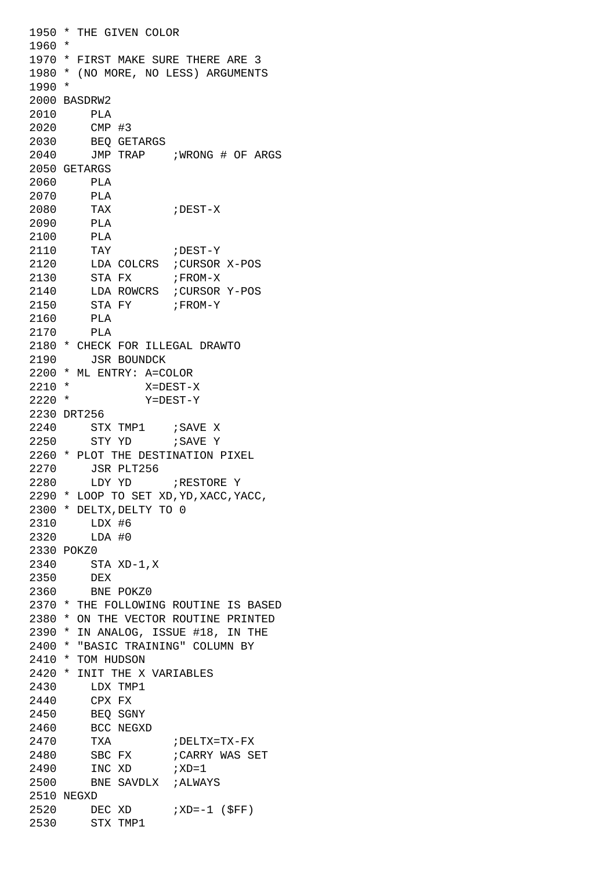```
1950 * THE GIVEN COLOR
1960 *
1970 * FIRST MAKE SURE THERE ARE 3
1980 * (NO MORE, NO LESS) ARGUMENTS
1990 *
2000 BASDRW2
2010 PLA 
2020 CMP #3
2030 BEQ GETARGS
2040 JMP TRAP ;WRONG # OF ARGS
2050 GETARGS
2060 PLA 
2070 PLA 
2080 TAX ;DEST-X
2090 PLA 
2100 PLA 
2110 TAY ;DEST-Y
2120 LDA COLCRS ;CURSOR X-POS
2130 STA FX ; FROM-X
2140 LDA ROWCRS ;CURSOR Y-POS
2150 STA FY ;FROM-Y
2160 PLA 
2170 PLA 
2180 * CHECK FOR ILLEGAL DRAWTO
2190 JSR BOUNDCK
2200 * ML ENTRY: A=COLOR
2210 * X=DEST-X
2220 * Y=DEST-Y
2230 DRT256
2240 STX TMP1 ; SAVE X
2250 STY YD : SAVE Y
2260 * PLOT THE DESTINATION PIXEL
2270 JSR PLT256
2280 LDY YD ;RESTORE Y
2290 * LOOP TO SET XD,YD,XACC,YACC,
2300 * DELTX,DELTY TO 0
2310 LDX #6
2320 LDA #0
2330 POKZ0
2340 STA XD-1,X
2350 DEX 
2360 BNE POKZ0
2370 * THE FOLLOWING ROUTINE IS BASED
2380 * ON THE VECTOR ROUTINE PRINTED
2390 * IN ANALOG, ISSUE #18, IN THE
2400 * "BASIC TRAINING" COLUMN BY
2410 * TOM HUDSON
2420 * INIT THE X VARIABLES
2430 LDX TMP1
2440 CPX FX
2450 BEQ SGNY
2460 BCC NEGXD
2470 TXA ;DELTX=TX-FX
2480 SBC FX ; CARRY WAS SET
2490 INC XD ;XD=1
2500 BNE SAVDLX ;ALWAYS
2510 NEGXD
2520 DEC XD ; XD=-1 ($FF)
2530 STX TMP1
```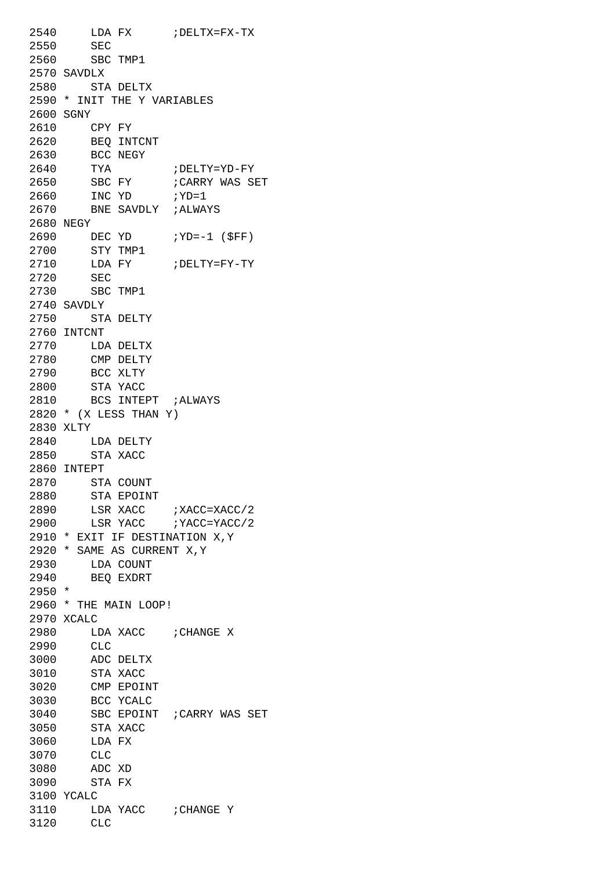2540 LDA FX ;DELTX=FX-TX 2550 SEC 2560 SBC TMP1 2570 SAVDLX 2580 STA DELTX 2590 \* INIT THE Y VARIABLES 2600 SGNY 2610 CPY FY 2620 BEQ INTCNT 2630 BCC NEGY 2640 TYA ;DELTY=YD-FY 2650 SBC FY ; CARRY WAS SET 2660 INC YD ;YD=1 2670 BNE SAVDLY ;ALWAYS 2680 NEGY 2690 DEC YD ; YD=-1 (\$FF) 2700 STY TMP1 2710 LDA FY ;DELTY=FY-TY 2720 SEC 2730 SBC TMP1 2740 SAVDLY 2750 STA DELTY 2760 INTCNT 2770 LDA DELTX 2780 CMP DELTY 2790 BCC XLTY 2800 STA YACC 2810 BCS INTEPT ;ALWAYS 2820 \* (X LESS THAN Y) 2830 XLTY 2840 LDA DELTY 2850 STA XACC 2860 INTEPT 2870 STA COUNT 2880 STA EPOINT 2890 LSR XACC ; XACC=XACC/2 2900 LSR YACC ; YACC=YACC/2 2910 \* EXIT IF DESTINATION X,Y 2920 \* SAME AS CURRENT X,Y 2930 LDA COUNT 2940 BEQ EXDRT 2950 \* 2960 \* THE MAIN LOOP! 2970 XCALC 2980 LDA XACC ; CHANGE X 2990 CLC 3000 ADC DELTX 3010 STA XACC 3020 CMP EPOINT 3030 BCC YCALC 3040 SBC EPOINT ;CARRY WAS SET 3050 STA XACC 3060 LDA FX 3070 CLC 3080 ADC XD 3090 STA FX 3100 YCALC 3110 LDA YACC ; CHANGE Y 3120 CLC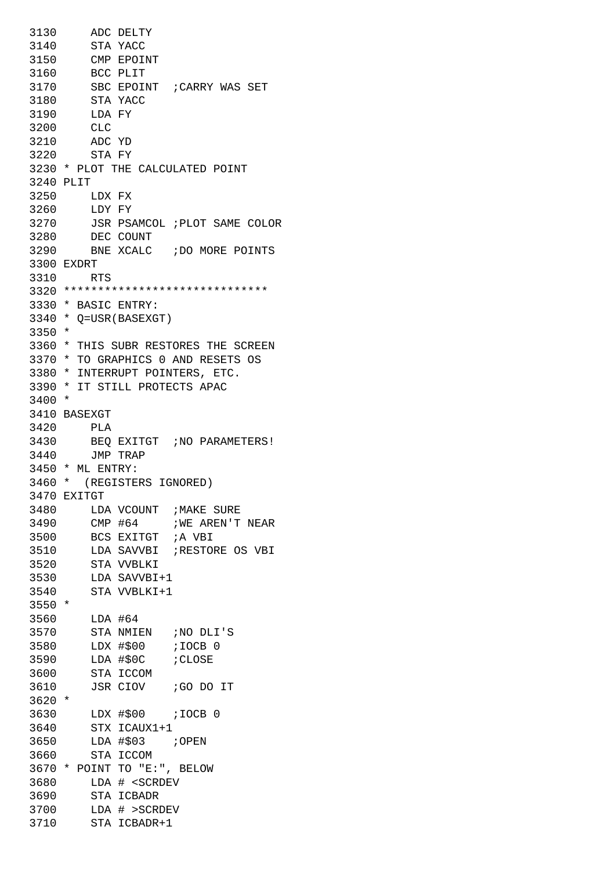3130 ADC DELTY 3140 STA YACC 3150 CMP EPOINT 3160 BCC PLIT 3170 SBC EPOINT ;CARRY WAS SET 3180 STA YACC 3190 LDA FY 3200 CLC 3210 ADC YD 3220 STA FY 3230 \* PLOT THE CALCULATED POINT 3240 PLIT 3250 LDX FX 3260 LDY FY 3270 JSR PSAMCOL ;PLOT SAME COLOR 3280 DEC COUNT 3290 BNE XCALC ;DO MORE POINTS 3300 EXDRT 3310 RTS 3320 \*\*\*\*\*\*\*\*\*\*\*\*\*\*\*\*\*\*\*\*\*\*\*\*\*\*\*\*\*\* 3330 \* BASIC ENTRY: 3340 \* Q=USR(BASEXGT) 3350 \* 3360 \* THIS SUBR RESTORES THE SCREEN 3370 \* TO GRAPHICS 0 AND RESETS OS 3380 \* INTERRUPT POINTERS, ETC. 3390 \* IT STILL PROTECTS APAC 3400 \* 3410 BASEXGT 3420 PLA 3430 BEQ EXITGT ;NO PARAMETERS! 3440 JMP TRAP 3450 \* ML ENTRY: 3460 \* (REGISTERS IGNORED) 3470 EXITGT 3480 LDA VCOUNT ;MAKE SURE 3490 CMP #64 ; WE AREN'T NEAR 3500 BCS EXITGT ;A VBI 3510 LDA SAVVBI ;RESTORE OS VBI 3520 STA VVBLKI 3530 LDA SAVVBI+1 3540 STA VVBLKI+1 3550 \* 3560 LDA #64 3570 STA NMIEN ;NO DLI'S 3580 LDX #\$00 ;IOCB 0 3590 LDA #\$0C ;CLOSE 3600 STA ICCOM 3610 JSR CIOV ;GO DO IT 3620 \* 3630 LDX #\$00 ;IOCB 0 3640 STX ICAUX1+1 3650 LDA #\$03 ;OPEN 3660 STA ICCOM 3670 \* POINT TO "E:", BELOW 3680 LDA # <SCRDEV 3690 STA ICBADR 3700 LDA # >SCRDEV 3710 STA ICBADR+1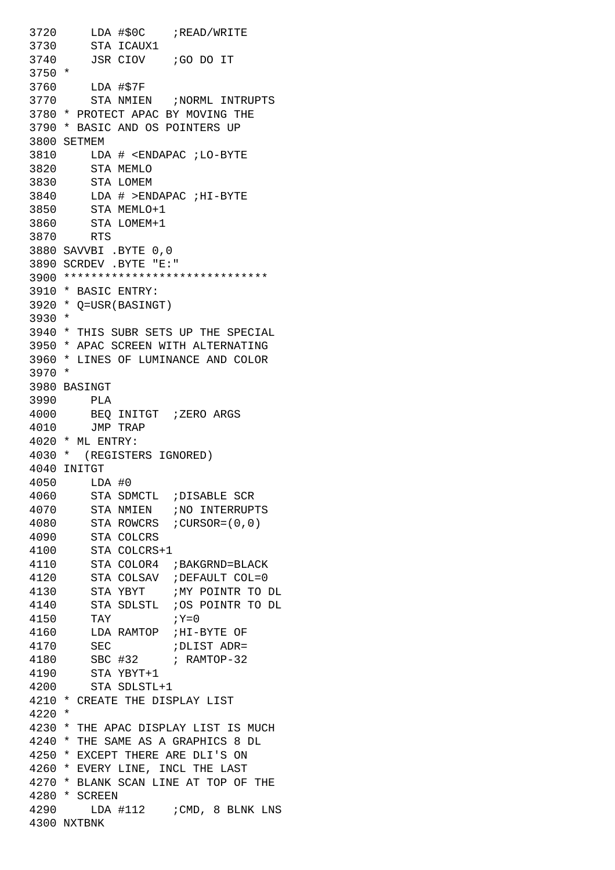```
3720 LDA #$0C ;READ/WRITE
3730 STA ICAUX1
3740 JSR CIOV ;GO DO IT
3750 *
3760 LDA #$7F
3770 STA NMIEN ;NORML INTRUPTS
3780 * PROTECT APAC BY MOVING THE
3790 * BASIC AND OS POINTERS UP
3800 SETMEM
3810 LDA # <ENDAPAC ;LO-BYTE
3820 STA MEMLO
3830 STA LOMEM
3840 LDA # >ENDAPAC ;HI-BYTE
3850 STA MEMLO+1
3860 STA LOMEM+1
3870 RTS 
3880 SAVVBI .BYTE 0,0
3890 SCRDEV .BYTE "E:"
3900 ******************************
3910 * BASIC ENTRY:
3920 * Q=USR(BASINGT)
3930 *
3940 * THIS SUBR SETS UP THE SPECIAL
3950 * APAC SCREEN WITH ALTERNATING
3960 * LINES OF LUMINANCE AND COLOR
3970 *
3980 BASINGT
3990 PLA 
4000 BEQ INITGT ;ZERO ARGS
4010 JMP TRAP
4020 * ML ENTRY:
4030 * (REGISTERS IGNORED)
4040 INITGT
4050 LDA #0
4060 STA SDMCTL ;DISABLE SCR
4070 STA NMIEN ;NO INTERRUPTS
4080 STA ROWCRS ;CURSOR=(0,0)
4090 STA COLCRS
4100 STA COLCRS+1
4110 STA COLOR4 ;BAKGRND=BLACK
4120 STA COLSAV ;DEFAULT COL=0
4130 STA YBYT ;MY POINTR TO DL
4140 STA SDLSTL ;OS POINTR TO DL
4150 TAY ;Y=04160 LDA RAMTOP ;HI-BYTE OF
4170 SEC ; DLIST ADR=
4180 SBC #32 ; RAMTOP-32
4190 STA YBYT+1
4200 STA SDLSTL+1
4210 * CREATE THE DISPLAY LIST
4220 *
4230 * THE APAC DISPLAY LIST IS MUCH
4240 * THE SAME AS A GRAPHICS 8 DL
4250 * EXCEPT THERE ARE DLI'S ON
4260 * EVERY LINE, INCL THE LAST
4270 * BLANK SCAN LINE AT TOP OF THE
4280 * SCREEN
4290 LDA #112 ;CMD, 8 BLNK LNS
4300 NXTBNK
```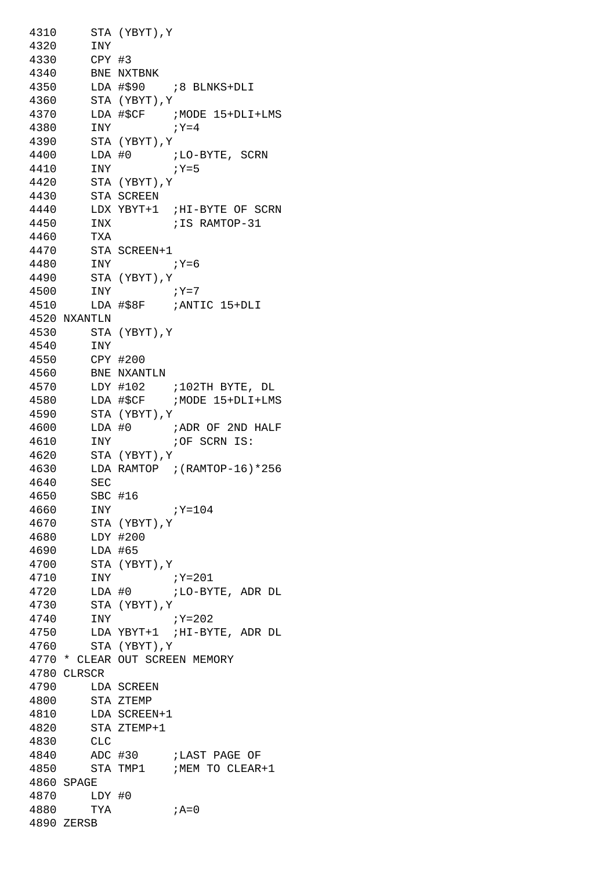4310 STA (YBYT),Y 4320 INY 4330 CPY #3 4340 BNE NXTBNK 4350 LDA #\$90 ;8 BLNKS+DLI 4360 STA (YBYT),Y 4370 LDA #\$CF ;MODE 15+DLI+LMS 4380 INY ;Y=4 4390 STA (YBYT),Y  $4400$  LDA #0 ; LO-BYTE, SCRN 4400  $LDA #0$   $iLO=$ <br>4410  $iY=5$ 4420 STA (YBYT),Y 4430 STA SCREEN 4440 LDX YBYT+1 ;HI-BYTE OF SCRN 4450 INX ;IS RAMTOP-31 4460 TXA 4470 STA SCREEN+1 4480 INY ;Y=6 4490 STA (YBYT),Y 4500 INY ;Y=7 4510 LDA #\$8F ;ANTIC 15+DLI 4520 NXANTLN 4530 STA (YBYT),Y 4540 INY 4550 CPY #200 4560 BNE NXANTLN 4570 LDY #102 ;102TH BYTE, DL 4580 LDA #\$CF ;MODE 15+DLI+LMS 4590 STA (YBYT),Y  $4600$  LDA  $#0$  ; ADR OF 2ND HALF 4610 INY ;OF SCRN IS: 4620 STA (YBYT),Y 4630 LDA RAMTOP ;(RAMTOP-16)\*256 4640 SEC 4650 SBC #16 4660 INY ;Y=104 4670 STA (YBYT),Y 4680 LDY #200 4690 LDA #65 4700 STA (YBYT),Y 4710 INY ;Y=201 4720 LDA #0 ;LO-BYTE, ADR DL 4730 STA (YBYT),Y 4740 INY ;Y=202 4750 LDA YBYT+1 ;HI-BYTE, ADR DL 4760 STA (YBYT),Y 4770 \* CLEAR OUT SCREEN MEMORY 4780 CLRSCR 4790 LDA SCREEN 4800 STA ZTEMP 4810 LDA SCREEN+1 4820 STA ZTEMP+1 4830 CLC 4840 ADC #30 ;LAST PAGE OF 4850 STA TMP1 ;MEM TO CLEAR+1 4860 SPAGE 4870 LDY #0 4880 TYA ;A=0 4890 ZERSB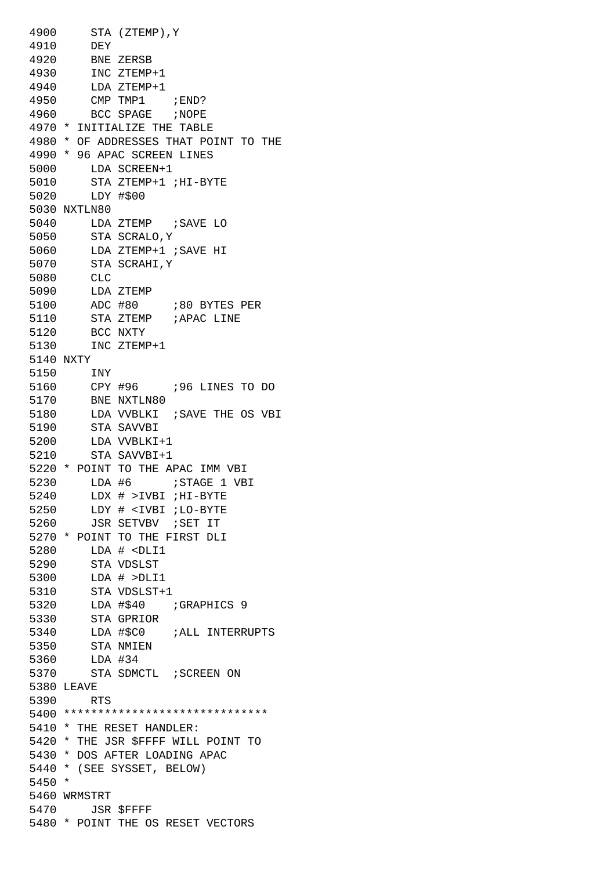4900 STA (ZTEMP),Y 4910 DEY 4920 BNE ZERSB 4930 INC ZTEMP+1 4940 LDA ZTEMP+1 4950 CMP TMP1 ;END? 4960 BCC SPAGE ;NOPE 4970 \* INITIALIZE THE TABLE 4980 \* OF ADDRESSES THAT POINT TO THE 4990 \* 96 APAC SCREEN LINES 5000 LDA SCREEN+1 5010 STA ZTEMP+1 ;HI-BYTE 5020 LDY #\$00 5030 NXTLN80 5040 LDA ZTEMP ;SAVE LO 5050 STA SCRALO,Y 5060 LDA ZTEMP+1 ;SAVE HI 5070 STA SCRAHI,Y 5080 CLC 5090 LDA ZTEMP 5100 ADC #80 ;80 BYTES PER 5110 STA ZTEMP ; APAC LINE 5120 BCC NXTY 5130 INC ZTEMP+1 5140 NXTY 5150 INY 5160 CPY #96 ;96 LINES TO DO 5170 BNE NXTLN80 5180 LDA VVBLKI ;SAVE THE OS VBI 5190 STA SAVVBI 5200 LDA VVBLKI+1 5210 STA SAVVBI+1 5220 \* POINT TO THE APAC IMM VBI 5230 LDA #6 ;STAGE 1 VBI 5240 LDX # >IVBI ;HI-BYTE 5250 LDY # <IVBI ;LO-BYTE 5260 JSR SETVBV ;SET IT 5270 \* POINT TO THE FIRST DLI 5280 LDA # <DLI1 5290 STA VDSLST 5300 LDA # >DLI1 5310 STA VDSLST+1 5320 LDA #\$40 ;GRAPHICS 9 5330 STA GPRIOR 5340 LDA #\$C0 ;ALL INTERRUPTS 5350 STA NMIEN 5360 LDA #34 5370 STA SDMCTL ; SCREEN ON 5380 LEAVE 5390 RTS 5400 \*\*\*\*\*\*\*\*\*\*\*\*\*\*\*\*\*\*\*\*\*\*\*\*\*\*\*\*\*\* 5410 \* THE RESET HANDLER: 5420 \* THE JSR \$FFFF WILL POINT TO 5430 \* DOS AFTER LOADING APAC 5440 \* (SEE SYSSET, BELOW) 5450 \* 5460 WRMSTRT 5470 JSR \$FFFF 5480 \* POINT THE OS RESET VECTORS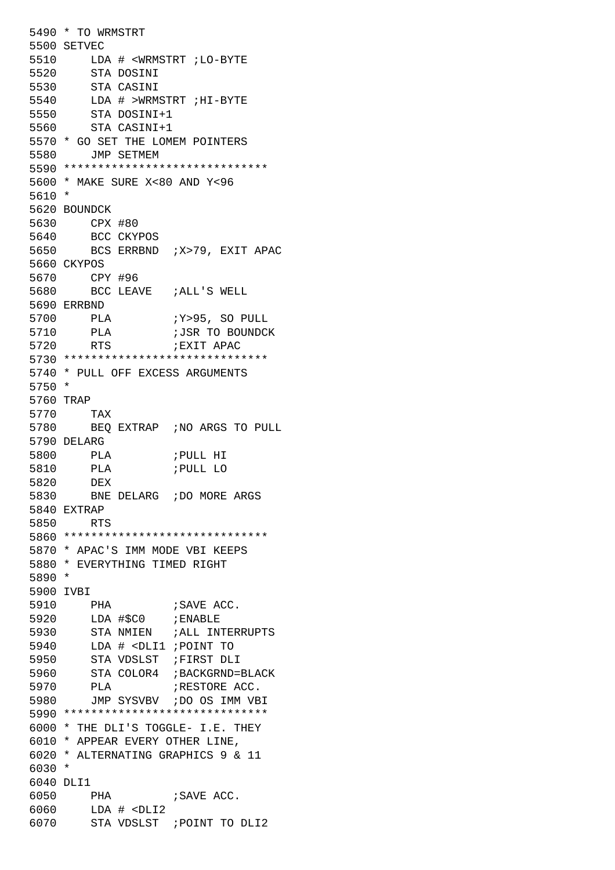```
5490 * TO WRMSTRT
5500 SETVEC
5510 LDA # <WRMSTRT ;LO-BYTE
5520 STA DOSINI
5530 STA CASINI
5540 LDA # >WRMSTRT ;HI-BYTE
5550 STA DOSINI+1
5560 STA CASINI+1
5570 * GO SET THE LOMEM POINTERS
5580 JMP SETMEM
5590 ******************************
5600 * MAKE SURE X<80 AND Y<96
5610 *
5620 BOUNDCK
5630 CPX #80
5640 BCC CKYPOS
5650 BCS ERRBND ;X>79, EXIT APAC
5660 CKYPOS
5670 CPY #96
5680 BCC LEAVE ;ALL'S WELL
5690 ERRBND
5700 PLA ;Y>95, SO PULL
5710 PLA ;JSR TO BOUNDCK
5720 RTS ;EXIT APAC
5730 ******************************
5740 * PULL OFF EXCESS ARGUMENTS
5750 *
5760 TRAP
5770 TAX 
5780 BEQ EXTRAP ;NO ARGS TO PULL
5790 DELARG
5800 PLA ;PULL HI
5810 PLA ;PULL LO
5820 DEX 
5830 BNE DELARG ;DO MORE ARGS
5840 EXTRAP
5850 RTS 
5860 ******************************
5870 * APAC'S IMM MODE VBI KEEPS
5880 * EVERYTHING TIMED RIGHT
5890 *
5900 IVBI
5910 PHA ; SAVE ACC.
5920 LDA #$C0 ;ENABLE
5930 STA NMIEN ;ALL INTERRUPTS
5940 LDA # <DLI1 ;POINT TO
5950 STA VDSLST ;FIRST DLI
5960 STA COLOR4 ;BACKGRND=BLACK
5970 PLA ;RESTORE ACC.
5980 JMP SYSVBV ;DO OS IMM VBI
5990 ******************************
6000 * THE DLI'S TOGGLE- I.E. THEY
6010 * APPEAR EVERY OTHER LINE,
6020 * ALTERNATING GRAPHICS 9 & 11
6030 *
6040 DLI1
6050 PHA ; SAVE ACC.
6060 LDA # <DLI2
6070 STA VDSLST ;POINT TO DLI2
```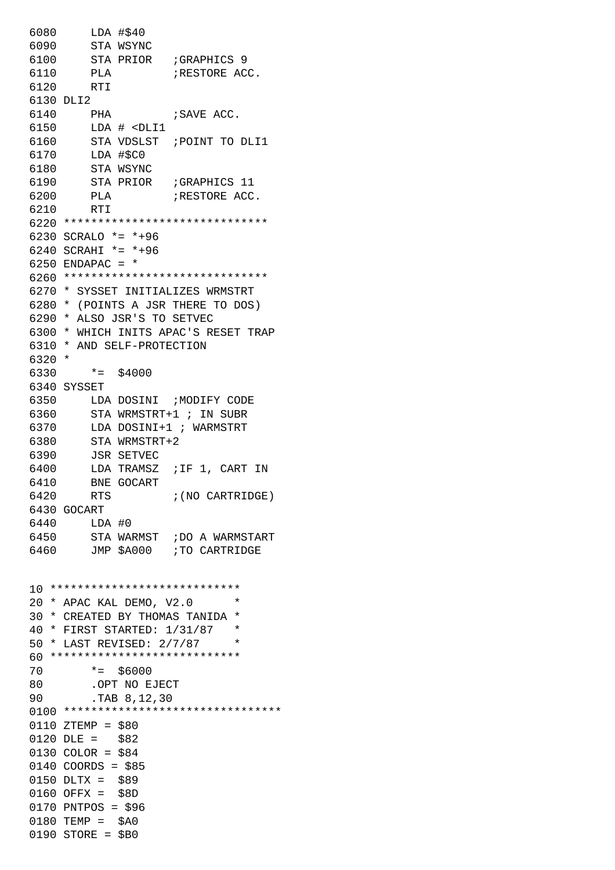6080 LDA #\$40 6090 STA WSYNC 6100 STA PRIOR ;GRAPHICS 9 6110 PLA ;RESTORE ACC. 6120 RTI 6130 DLI2 6140 PHA ; SAVE ACC. 6150 LDA # <DLI1 6160 STA VDSLST ;POINT TO DLI1 6170 LDA #\$C0 6180 STA WSYNC 6190 STA PRIOR ;GRAPHICS 11 6200 PLA ;RESTORE ACC. 6210 RTI 6220 \*\*\*\*\*\*\*\*\*\*\*\*\*\*\*\*\*\*\*\*\*\*\*\*\*\*\*\*\*\* 6230 SCRALO \*= \*+96 6240 SCRAHI \*= \*+96 6250 ENDAPAC =  $*$ 6260 \*\*\*\*\*\*\*\*\*\*\*\*\*\*\*\*\*\*\*\*\*\*\*\*\*\*\*\*\*\* 6270 \* SYSSET INITIALIZES WRMSTRT 6280 \* (POINTS A JSR THERE TO DOS) 6290 \* ALSO JSR'S TO SETVEC 6300 \* WHICH INITS APAC'S RESET TRAP 6310 \* AND SELF-PROTECTION 6320 \* 6330 \*= \$4000 6340 SYSSET 6350 LDA DOSINI ;MODIFY CODE 6360 STA WRMSTRT+1 ; IN SUBR 6370 LDA DOSINI+1 ; WARMSTRT 6380 STA WRMSTRT+2 6390 JSR SETVEC 6400 LDA TRAMSZ ;IF 1, CART IN 6410 BNE GOCART 6420 RTS ;(NO CARTRIDGE) 6430 GOCART 6440 LDA #0 6450 STA WARMST ;DO A WARMSTART 6460 JMP \$A000 ;TO CARTRIDGE 10 \*\*\*\*\*\*\*\*\*\*\*\*\*\*\*\*\*\*\*\*\*\*\*\*\*\*\*\* 20 \* APAC KAL DEMO, V2.0 \* 30 \* CREATED BY THOMAS TANIDA \* 40 \* FIRST STARTED: 1/31/87 \* 50 \* LAST REVISED: 2/7/87 \* 60 \*\*\*\*\*\*\*\*\*\*\*\*\*\*\*\*\*\*\*\*\*\*\*\*\*\*\*\* 70 \*= \$6000 80 .OPT NO EJECT 90 .TAB 8,12,30 0100 \*\*\*\*\*\*\*\*\*\*\*\*\*\*\*\*\*\*\*\*\*\*\*\*\*\*\*\*\*\*\*\* 0110 ZTEMP = \$80 0120 DLE = \$82 0130 COLOR = \$84 0140 COORDS = \$85 0150 DLTX = \$89 0160 OFFX = \$8D 0170 PNTPOS = \$96 0180 TEMP = \$A0 0190 STORE = \$B0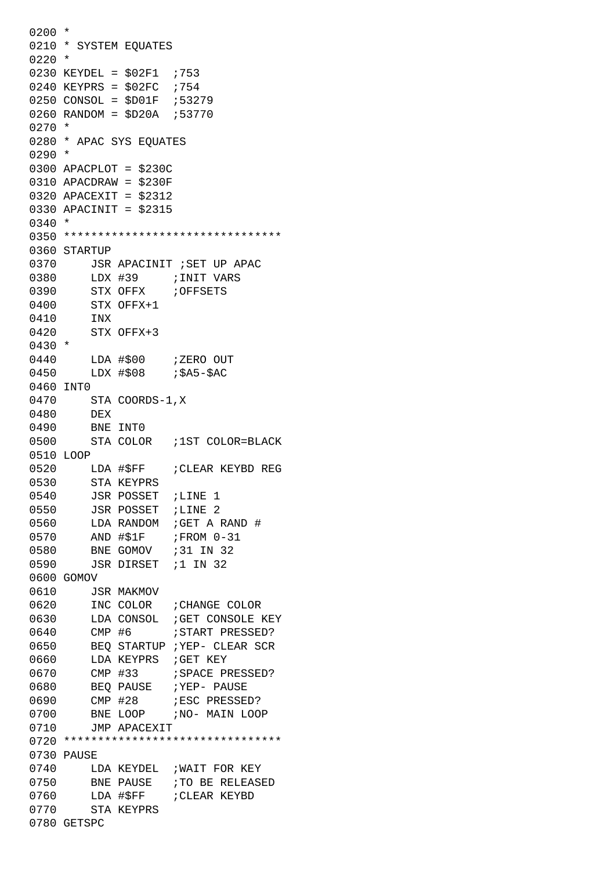$0200 *$ 0210 \* SYSTEM EQUATES 0220 \* 0230 KEYDEL = \$02F1 ;753 0240 KEYPRS =  $$02FC$  ;754 0250 CONSOL = \$D01F ;53279 0260 RANDOM = \$D20A ;53770 0270 \* 0280 \* APAC SYS EQUATES 0290 \* 0300 APACPLOT = \$230C 0310 APACDRAW = \$230F 0320 APACEXIT = \$2312 0330 APACINIT = \$2315 0340 \* 0350 \*\*\*\*\*\*\*\*\*\*\*\*\*\*\*\*\*\*\*\*\*\*\*\*\*\*\*\*\*\*\*\* 0360 STARTUP 0370 JSR APACINIT ; SET UP APAC 0380 LDX #39 ;INIT VARS 0390 STX OFFX ;OFFSETS 0400 STX OFFX+1 0410 INX 0420 STX OFFX+3 0430 \* 0440 LDA #\$00 ; ZERO OUT 0450 LDX #\$08 ; \$A5-\$AC 0460 INT0 0470 STA COORDS-1,X 0480 DEX 0490 BNE INT0 0500 STA COLOR ;1ST COLOR=BLACK 0510 LOOP 0520 LDA #\$FF ; CLEAR KEYBD REG 0530 STA KEYPRS 0540 JSR POSSET ; LINE 1 0550 JSR POSSET ; LINE 2 0560 LDA RANDOM ; GET A RAND # 0570 AND #\$1F ; FROM 0-31 0580 BNE GOMOV ;31 IN 32 0590 JSR DIRSET ;1 IN 32 0600 GOMOV 0610 JSR MAKMOV 0620 INC COLOR ; CHANGE COLOR 0630 LDA CONSOL ; GET CONSOLE KEY 0640 CMP #6 ;START PRESSED? 0650 BEQ STARTUP ; YEP- CLEAR SCR 0660 LDA KEYPRS ; GET KEY 0670 CMP #33 ; SPACE PRESSED? 0680 BEO PAUSE ; YEP- PAUSE 0690 CMP #28 ;ESC PRESSED? 0700 BNE LOOP ; NO- MAIN LOOP 0710 JMP APACEXIT 0720 \*\*\*\*\*\*\*\*\*\*\*\*\*\*\*\*\*\*\*\*\*\*\*\*\*\*\*\*\*\*\*\* 0730 PAUSE 0740 LDA KEYDEL ; WAIT FOR KEY 0750 BNE PAUSE ; TO BE RELEASED 0760 LDA #\$FF ; CLEAR KEYBD 0770 STA KEYPRS 0780 GETSPC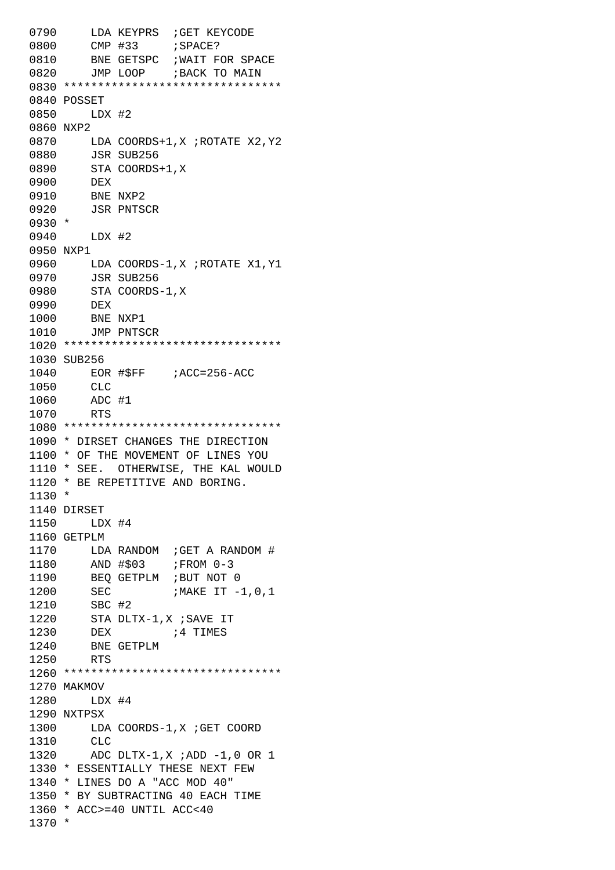0790 LDA KEYPRS ; GET KEYCODE 0800 CMP #33 ;SPACE? 0810 BNE GETSPC ; WAIT FOR SPACE 0820 JMP LOOP ; BACK TO MAIN 0830 \*\*\*\*\*\*\*\*\*\*\*\*\*\*\*\*\*\*\*\*\*\*\*\*\*\*\*\*\*\*\*\* 0840 POSSET 0850 LDX #2 0860 NXP2 0870 LDA COORDS+1,X ;ROTATE X2,Y2 0880 JSR SUB256 0890 STA COORDS+1, X 0900 DEX 0910 BNE NXP2 0920 JSR PNTSCR 0930 \* 0940 LDX #2 0950 NXP1 0960 LDA COORDS-1,X ;ROTATE X1,Y1 0970 JSR SUB256 0980 STA COORDS-1,X 0990 DEX 1000 BNE NXP1 1010 JMP PNTSCR 1020 \*\*\*\*\*\*\*\*\*\*\*\*\*\*\*\*\*\*\*\*\*\*\*\*\*\*\*\*\*\*\*\* 1030 SUB256 1040 EOR #\$FF ;ACC=256-ACC 1050 CLC 1060 ADC #1 1070 RTS 1080 \*\*\*\*\*\*\*\*\*\*\*\*\*\*\*\*\*\*\*\*\*\*\*\*\*\*\*\*\*\*\*\* 1090 \* DIRSET CHANGES THE DIRECTION 1100 \* OF THE MOVEMENT OF LINES YOU 1110 \* SEE. OTHERWISE, THE KAL WOULD 1120 \* BE REPETITIVE AND BORING. 1130 \* 1140 DIRSET 1150 LDX #4 1160 GETPLM 1170 LDA RANDOM ; GET A RANDOM # 1180 AND #\$03 ; FROM 0-3 1190 BEQ GETPLM ;BUT NOT 0 1200 SEC ; MAKE IT -1,0,1 1210 SBC #2 1220 STA DLTX-1,X ;SAVE IT 1230 DEX ;4 TIMES 1240 BNE GETPLM 1250 RTS 1260 \*\*\*\*\*\*\*\*\*\*\*\*\*\*\*\*\*\*\*\*\*\*\*\*\*\*\*\*\*\*\*\* 1270 MAKMOV 1280 LDX #4 1290 NXTPSX 1300 LDA COORDS-1, X ; GET COORD 1310 CLC 1320 ADC DLTX-1,X ;ADD -1,0 OR 1 1330 \* ESSENTIALLY THESE NEXT FEW 1340 \* LINES DO A "ACC MOD 40" 1350 \* BY SUBTRACTING 40 EACH TIME 1360 \* ACC>=40 UNTIL ACC<40 1370 \*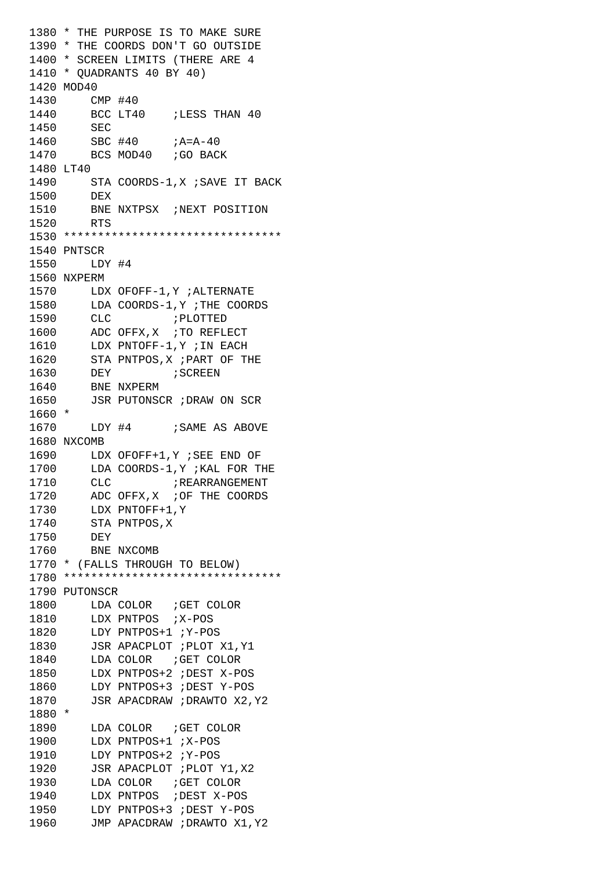1380 \* THE PURPOSE IS TO MAKE SURE 1390 \* THE COORDS DON'T GO OUTSIDE 1400 \* SCREEN LIMITS (THERE ARE 4 1410 \* QUADRANTS 40 BY 40) 1420 MOD40 1430 CMP #40 1440 BCC LT40 ;LESS THAN 40 1450 SEC 1460 SBC #40 ; A=A-40 1470 BCS MOD40 ; GO BACK 1480 LT40 1490 STA COORDS-1, X ; SAVE IT BACK 1500 DEX 1510 BNE NXTPSX ;NEXT POSITION 1520 RTS 1530 \*\*\*\*\*\*\*\*\*\*\*\*\*\*\*\*\*\*\*\*\*\*\*\*\*\*\*\*\*\*\*\* 1540 PNTSCR 1550 LDY #4 1560 NXPERM 1570 LDX OFOFF-1,Y ;ALTERNATE 1580 LDA COORDS-1,Y ;THE COORDS 1590 CLC ; PLOTTED 1600 ADC OFFX, X ; TO REFLECT 1610 LDX PNTOFF-1,Y ;IN EACH 1620 STA PNTPOS,X ;PART OF THE 1630 DEY ; SCREEN 1640 BNE NXPERM 1650 JSR PUTONSCR ;DRAW ON SCR 1660 \* 1670 LDY #4 ; SAME AS ABOVE 1680 NXCOMB 1690 LDX OFOFF+1,Y ;SEE END OF 1700 LDA COORDS-1,Y ;KAL FOR THE 1710 CLC **FREARRANGEMENT** 1720 ADC OFFX, X ; OF THE COORDS 1730 LDX PNTOFF+1,Y 1740 STA PNTPOS,X 1750 DEY 1760 BNE NXCOMB 1770 \* (FALLS THROUGH TO BELOW) 1780 \*\*\*\*\*\*\*\*\*\*\*\*\*\*\*\*\*\*\*\*\*\*\*\*\*\*\*\*\*\*\*\* 1790 PUTONSCR 1800 LDA COLOR ; GET COLOR 1810 LDX PNTPOS ;X-POS 1820 LDY PNTPOS+1 ;Y-POS 1830 JSR APACPLOT ; PLOT X1, Y1 1840 LDA COLOR ; GET COLOR 1850 LDX PNTPOS+2 ;DEST X-POS 1860 LDY PNTPOS+3 ;DEST Y-POS 1870 JSR APACDRAW ;DRAWTO X2,Y2 1880 \* 1890 LDA COLOR ; GET COLOR 1900 LDX PNTPOS+1 ;X-POS 1910 LDY PNTPOS+2 ;Y-POS 1920 JSR APACPLOT ; PLOT Y1, X2 1930 LDA COLOR ; GET COLOR 1940 LDX PNTPOS ;DEST X-POS 1950 LDY PNTPOS+3 ;DEST Y-POS 1960 JMP APACDRAW ;DRAWTO X1,Y2